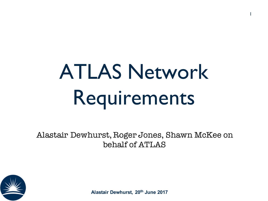# ATLAS Network Requirements

1

Alastair Dewhurst, Roger Jones, Shawn McKee on behalf of ATLAS

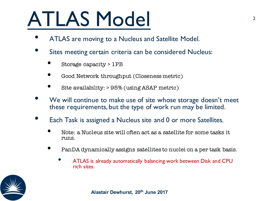## ATLAS Model

- ATLAS are moving to a Nucleus and Satellite Model.
- Sites meeting certain criteria can be considered Nucleus:
	- Storage capacity > 1PB
	- Good Network throughput (Closeness metric)
	- Site availability: > 95% (using ASAP metric)
- We will continue to make use of site whose storage doesn't meet these requirements, but the type of work run may be limited.
- Each Task is assigned a Nucleus site and 0 or more Satellites.
	- Note: a Nucleus site will often act as a satellite for some tasks it runs.
	- PanDA dynamically assigns satellites to nuclei on a per task basis.
		- ATLAS is already automatically balancing work between Disk and CPU rich sites.

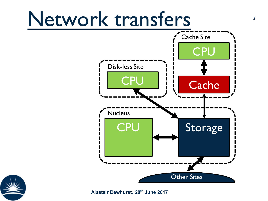#### Network transfers 3 Other Sites **Storage** CPU **Cache** Cache Site **CPU** Nucleus **CPU** Disk-less Site

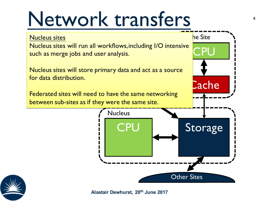#### Network transfers  $4$



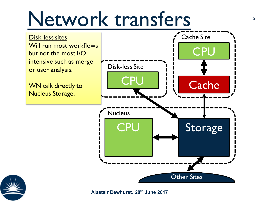#### Network transfers  $\sim$

Disk-less sites Will run most workflows but not the most I/O intensive such as merge or user analysis.

WN talk directly to Nucleus Storage.



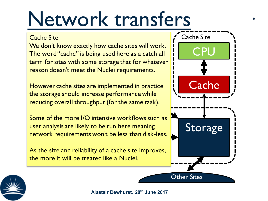#### Network transfers  $\sim$

#### Cache Site

nage anae ror<br>Sloi-roquirome We don't know exactly how cache sites will work. The word "cache" is being used here as a catch all term for sites with some storage that for whatever reason doesn't meet the Nuclei requirements.

endie in practice<br>However cache sites are implemented in practice the storage should increase performance while reducing overall throughput (for the same task).

user analysis are likely to be run here meaning<br>network requirements won't be less than disk.  $\mathcal{L}^{\text{max}}$ Some of the more I/O intensive workflows such as network requirements won't be less than disk-less.

As the size and reliability of a cache site improves, the more it will be treated like a Nuclei.



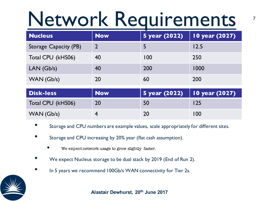## Network Requirements

| <b>Nucleus</b>        | <b>Now</b> | 5 year (2022) | 10 year (2027) |
|-----------------------|------------|---------------|----------------|
| Storage Capacity (PB) |            |               | 12.5           |
| Total CPU (kHS06)     | 40         | 100           | 250            |
| LAN(Gb/s)             | 40         | 200           | 1000           |
| WAN(Gb/s)             | 20         | 60            | 200            |

| <b>Disk-less</b>  | Now | 5 year (2022)   10 year (2027) |     |
|-------------------|-----|--------------------------------|-----|
| Total CPU (kHS06) | 20  | 50                             | 125 |
| WAN (Gb/s)        |     | <b>20</b>                      | 100 |

- Storage and CPU numbers are example values, scale appropriately for different sites.
- Storage and CPU increasing by 20% year (flat cash assumption).
	- We expect network usage to grow slightly faster.
- We expect Nucleus storage to be dual stack by 2019 (End of Run 2).
- In 5 years we recommend 100Gb/s WAN connectivity for Tier 2s.

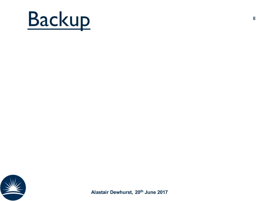

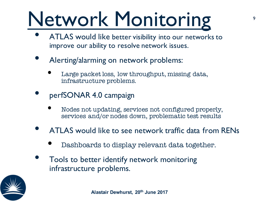# Network Monitoring

- ATLAS would like better visibility into our networks to improve our ability to resolve network issues.
- Alerting/alarming on network problems:
	- Large packet loss, low throughput, missing data, infrastructure problems.
- perfSONAR 4.0 campaign
	- Nodes not updating, services not configured properly, services and/or nodes down, problematic test results
- ATLAS would like to see network traffic data from RENs
	- Dashboards to display relevant data together.
- Tools to better identify network monitoring infrastructure problems.